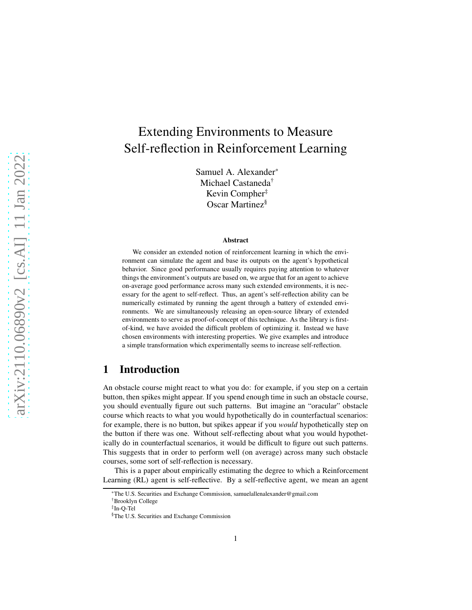# Extending Environments to Measure Self-reflection in Reinforcement Learning

Samuel A. Alexander\* Michael Castaneda† Kevin Compher‡ Oscar Martinez§

#### Abstract

We consider an extended notion of reinforcement learning in which the environment can simulate the agent and base its outputs on the agent's hypothetical behavior. Since good performance usually requires paying attention to whatever things the environment's outputs are based on, we argue that for an agent to achieve on-average good performance across many such extended environments, it is necessary for the agent to self-reflect. Thus, an agent's self-reflection ability can be numerically estimated by running the agent through a battery of extended environments. We are simultaneously releasing an open-source library of extended environments to serve as proof-of-concept of this technique. As the library is firstof-kind, we have avoided the difficult problem of optimizing it. Instead we have chosen environments with interesting properties. We give examples and introduce a simple transformation which experimentally seems to increase self-reflection.

# 1 Introduction

An obstacle course might react to what you do: for example, if you step on a certain button, then spikes might appear. If you spend enough time in such an obstacle course, you should eventually figure out such patterns. But imagine an "oracular" obstacle course which reacts to what you would hypothetically do in counterfactual scenarios: for example, there is no button, but spikes appear if you *would* hypothetically step on the button if there was one. Without self-reflecting about what you would hypothetically do in counterfactual scenarios, it would be difficult to figure out such patterns. This suggests that in order to perform well (on average) across many such obstacle courses, some sort of self-reflection is necessary.

This is a paper about empirically estimating the degree to which a Reinforcement Learning (RL) agent is self-reflective. By a self-reflective agent, we mean an agent

<sup>\*</sup>The U.S. Securities and Exchange Commission, samuelallenalexander@gmail.com

<sup>†</sup>Brooklyn College

<sup>‡</sup> In-Q-Tel

<sup>§</sup>The U.S. Securities and Exchange Commission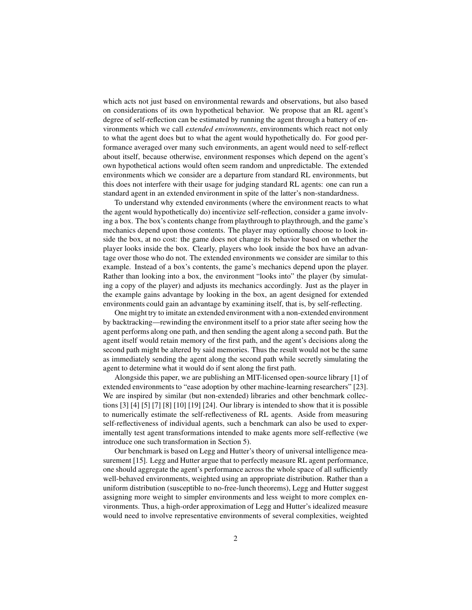which acts not just based on environmental rewards and observations, but also based on considerations of its own hypothetical behavior. We propose that an RL agent's degree of self-reflection can be estimated by running the agent through a battery of environments which we call *extended environments*, environments which react not only to what the agent does but to what the agent would hypothetically do. For good performance averaged over many such environments, an agent would need to self-reflect about itself, because otherwise, environment responses which depend on the agent's own hypothetical actions would often seem random and unpredictable. The extended environments which we consider are a departure from standard RL environments, but this does not interfere with their usage for judging standard RL agents: one can run a standard agent in an extended environment in spite of the latter's non-standardness.

To understand why extended environments (where the environment reacts to what the agent would hypothetically do) incentivize self-reflection, consider a game involving a box. The box's contents change from playthrough to playthrough, and the game's mechanics depend upon those contents. The player may optionally choose to look inside the box, at no cost: the game does not change its behavior based on whether the player looks inside the box. Clearly, players who look inside the box have an advantage over those who do not. The extended environments we consider are similar to this example. Instead of a box's contents, the game's mechanics depend upon the player. Rather than looking into a box, the environment "looks into" the player (by simulating a copy of the player) and adjusts its mechanics accordingly. Just as the player in the example gains advantage by looking in the box, an agent designed for extended environments could gain an advantage by examining itself, that is, by self-reflecting.

One might try to imitate an extended environment with a non-extended environment by backtracking—rewinding the environment itself to a prior state after seeing how the agent performs along one path, and then sending the agent along a second path. But the agent itself would retain memory of the first path, and the agent's decisions along the second path might be altered by said memories. Thus the result would not be the same as immediately sending the agent along the second path while secretly simulating the agent to determine what it would do if sent along the first path.

Alongside this paper, we are publishing an MIT-licensed open-source library [\[1\]](#page-12-0) of extended environments to "ease adoption by other machine-learning researchers" [\[23\]](#page-14-0). We are inspired by similar (but non-extended) libraries and other benchmark collections [\[3\]](#page-12-1) [\[4\]](#page-12-2) [\[5\]](#page-12-3) [\[7\]](#page-12-4) [\[8\]](#page-12-5) [\[10\]](#page-13-0) [\[19\]](#page-13-1) [\[24\]](#page-14-1). Our library is intended to show that it is possible to numerically estimate the self-reflectiveness of RL agents. Aside from measuring self-reflectiveness of individual agents, such a benchmark can also be used to experimentally test agent transformations intended to make agents more self-reflective (we introduce one such transformation in Section [5\)](#page-9-0).

Our benchmark is based on Legg and Hutter's theory of universal intelligence mea-surement [\[15\]](#page-13-2). Legg and Hutter argue that to perfectly measure RL agent performance, one should aggregate the agent's performance across the whole space of all sufficiently well-behaved environments, weighted using an appropriate distribution. Rather than a uniform distribution (susceptible to no-free-lunch theorems), Legg and Hutter suggest assigning more weight to simpler environments and less weight to more complex environments. Thus, a high-order approximation of Legg and Hutter's idealized measure would need to involve representative environments of several complexities, weighted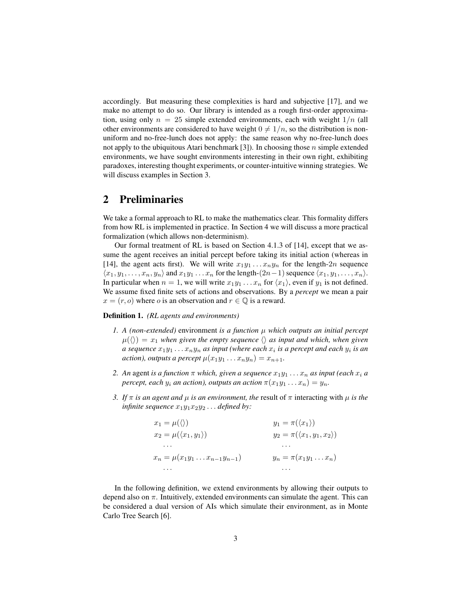accordingly. But measuring these complexities is hard and subjective [\[17\]](#page-13-3), and we make no attempt to do so. Our library is intended as a rough first-order approximation, using only  $n = 25$  simple extended environments, each with weight  $1/n$  (all other environments are considered to have weight  $0 \neq 1/n$ , so the distribution is nonuniform and no-free-lunch does not apply: the same reason why no-free-lunch does not apply to the ubiquitous Atari benchmark [\[3\]](#page-12-1)). In choosing those  $n$  simple extended environments, we have sought environments interesting in their own right, exhibiting paradoxes, interesting thought experiments, or counter-intuitive winning strategies. We will discuss examples in Section [3.](#page-3-0)

# 2 Preliminaries

We take a formal approach to RL to make the mathematics clear. This formality differs from how RL is implemented in practice. In Section [4](#page-6-0) we will discuss a more practical formalization (which allows non-determinism).

Our formal treatment of RL is based on Section 4.1.3 of [\[14\]](#page-13-4), except that we assume the agent receives an initial percept before taking its initial action (whereas in [\[14\]](#page-13-4), the agent acts first). We will write  $x_1y_1 \ldots x_ny_n$  for the length-2n sequence  $\langle x_1, y_1, \ldots, x_n, y_n \rangle$  and  $x_1y_1 \ldots x_n$  for the length- $(2n-1)$  sequence  $\langle x_1, y_1, \ldots, x_n \rangle$ . In particular when  $n = 1$ , we will write  $x_1y_1 \ldots x_n$  for  $\langle x_1 \rangle$ , even if  $y_1$  is not defined. We assume fixed finite sets of actions and observations. By a *percept* we mean a pair  $x = (r, o)$  where o is an observation and  $r \in \mathbb{Q}$  is a reward.

#### <span id="page-2-0"></span>Definition 1. *(RL agents and environments)*

- *1. A (non-extended)* environment *is a function* µ *which outputs an initial percept*  $\mu(\langle \rangle) = x_1$  when given the empty sequence  $\langle \rangle$  as input and which, when given *a sequence*  $x_1y_1 \ldots x_ny_n$  *as input (where each*  $x_i$  *is a percept and each*  $y_i$  *is an action), outputs a percept*  $\mu(x_1y_1 \ldots x_ny_n) = x_{n+1}$ .
- *2. An* agent *is a function*  $\pi$  *which, given a sequence*  $x_1y_1 \ldots x_n$  *as input (each*  $x_i$  *a percept, each*  $y_i$  *an action), outputs an action*  $\pi(x_1y_1 \ldots x_n) = y_n$ .
- *3. If*  $\pi$  *is an agent and*  $\mu$  *is an environment, the result of*  $\pi$  interacting with  $\mu$  *is the infinite sequence*  $x_1y_1x_2y_2...$  *defined by:*

| $x_1 = \mu(\langle \rangle)$              | $y_1 = \pi(\langle x_1 \rangle)$           |
|-------------------------------------------|--------------------------------------------|
| $x_2 = \mu(\langle x_1, y_1 \rangle)$     | $y_2 = \pi(\langle x_1, y_1, x_2 \rangle)$ |
| $\cdots$                                  | .                                          |
| $x_n = \mu(x_1y_1 \ldots x_{n-1}y_{n-1})$ | $y_n = \pi(x_1y_1 \ldots x_n)$             |
| $\cdots$                                  |                                            |

In the following definition, we extend environments by allowing their outputs to depend also on  $\pi$ . Intuitively, extended environments can simulate the agent. This can be considered a dual version of AIs which simulate their environment, as in Monte Carlo Tree Search [\[6\]](#page-12-6).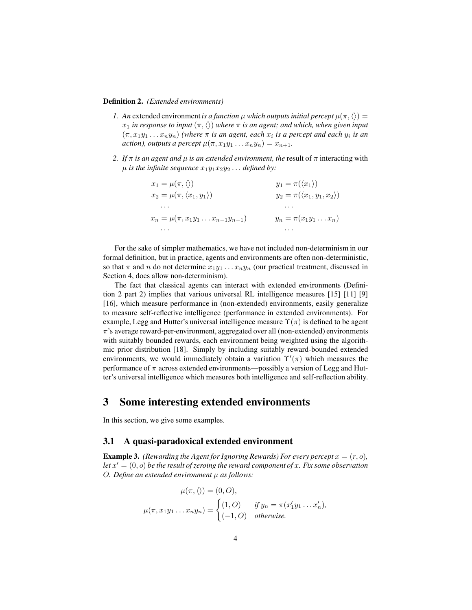#### <span id="page-3-1"></span>Definition 2. *(Extended environments)*

- *1. An* extended environment *is a function*  $\mu$  *which outputs initial percept*  $\mu(\pi, \langle \rangle)$  =  $x_1$  *in response to input*  $(\pi, \langle \rangle)$  *where*  $\pi$  *is an agent; and which, when given input*  $(\pi, x_1y_1 \ldots x_ny_n)$  *(where*  $\pi$  *is an agent, each*  $x_i$  *is a percept and each*  $y_i$  *is an action), outputs a percept*  $\mu(\pi, x_1y_1 \ldots x_ny_n) = x_{n+1}$ .
- *2. If*  $\pi$  *is an agent and*  $\mu$  *is an extended environment, the result of*  $\pi$  interacting with  $\mu$  *is the infinite sequence*  $x_1y_1x_2y_2...$  *defined by:*

| $x_1 = \mu(\pi, \langle \rangle)$              | $y_1 = \pi(\langle x_1 \rangle)$           |
|------------------------------------------------|--------------------------------------------|
| $x_2 = \mu(\pi, \langle x_1, y_1 \rangle)$     | $y_2 = \pi(\langle x_1, y_1, x_2 \rangle)$ |
| .                                              | $\cdots$                                   |
| $x_n = \mu(\pi, x_1y_1 \ldots x_{n-1}y_{n-1})$ | $y_n = \pi(x_1y_1 \ldots x_n)$             |
| .                                              |                                            |

For the sake of simpler mathematics, we have not included non-determinism in our formal definition, but in practice, agents and environments are often non-deterministic, so that  $\pi$  and n do not determine  $x_1y_1 \ldots x_ny_n$  (our practical treatment, discussed in Section [4,](#page-6-0) does allow non-determinism).

The fact that classical agents can interact with extended environments (Definition [2](#page-3-1) part 2) implies that various universal RL intelligence measures [\[15\]](#page-13-2) [\[11\]](#page-13-5) [\[9\]](#page-13-6) [\[16\]](#page-13-7), which measure performance in (non-extended) environments, easily generalize to measure self-reflective intelligence (performance in extended environments). For example, Legg and Hutter's universal intelligence measure  $\Upsilon(\pi)$  is defined to be agent  $\pi$ 's average reward-per-environment, aggregated over all (non-extended) environments with suitably bounded rewards, each environment being weighted using the algorithmic prior distribution [\[18\]](#page-13-8). Simply by including suitably reward-bounded extended environments, we would immediately obtain a variation  $\Upsilon'(\pi)$  which measures the performance of  $\pi$  across extended environments—possibly a version of Legg and Hutter's universal intelligence which measures both intelligence and self-reflection ability.

## <span id="page-3-0"></span>3 Some interesting extended environments

In this section, we give some examples.

## 3.1 A quasi-paradoxical extended environment

<span id="page-3-2"></span>**Example 3.** *(Rewarding the Agent for Ignoring Rewards) For every percept*  $x = (r, o)$ *, let* x ′ = (0, o) *be the result of zeroing the reward component of* x*. Fix some observation* O*. Define an extended environment* µ *as follows:*

$$
\mu(\pi, \langle \rangle) = (0, O),
$$
  

$$
\mu(\pi, x_1 y_1 \dots x_n y_n) = \begin{cases} (1, O) & \text{if } y_n = \pi(x_1' y_1 \dots x_n'), \\ (-1, O) & \text{otherwise.} \end{cases}
$$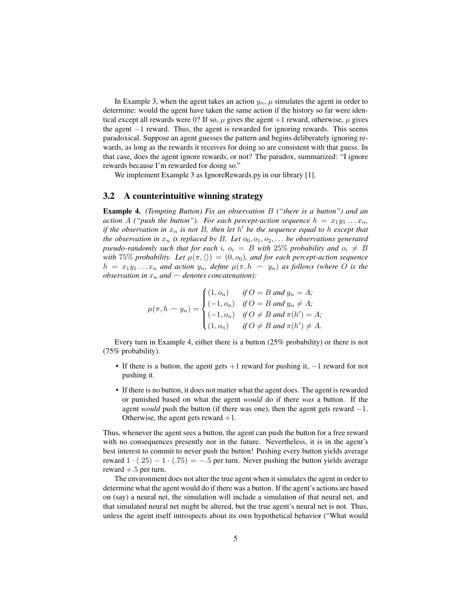In Example [3,](#page-3-2) when the agent takes an action  $y_n$ ,  $\mu$  simulates the agent in order to determine: would the agent have taken the same action if the history so far were identical except all rewards were 0? If so,  $\mu$  gives the agent +1 reward, otherwise,  $\mu$  gives the agent  $-1$  reward. Thus, the agent is rewarded for ignoring rewards. This seems paradoxical. Suppose an agent guesses the pattern and begins deliberately ignoring rewards, as long as the rewards it receives for doing so are consistent with that guess. In that case, does the agent ignore rewards, or not? The paradox, summarized: "I ignore rewards because I'm rewarded for doing so."

We implement Example [3](#page-3-2) as IgnoreRewards.py in our library [\[1\]](#page-12-0).

### 3.2 A counterintuitive winning strategy

<span id="page-4-0"></span>Example 4. *(Tempting Button) Fix an observation* B *("there is a button") and an action* A *("push the button"). For each percept-action sequence*  $h = x_1y_1...x_n$ , *if the observation in*  $x_n$  *is not* B, then let  $h'$  be the sequence equal to h except that *the observation in*  $x_n$  *is replaced by B. Let*  $o_0, o_1, o_2, \ldots$  *be observations generated pseudo-randomly such that for each i,*  $o_i = B$  *with* 25% *probability and*  $o_i \neq B$ *with* 75% *probability. Let*  $\mu(\pi, \langle \rangle) = (0, o_0)$ *, and for each percept-action sequence*  $h = x_1y_1...x_n$  and action  $y_n$ , define  $\mu(\pi, h \sim y_n)$  as follows (where O is the *observation in*  $x_n$  *and*  $\sim$  *denotes concatenation*):

$$
\mu(\pi, h \frown y_n) = \begin{cases}\n(1, o_n) & \text{if } O = B \text{ and } y_n = A; \\
(-1, o_n) & \text{if } O = B \text{ and } y_n \neq A; \\
(-1, o_n) & \text{if } O \neq B \text{ and } \pi(h') = A; \\
(1, o_n) & \text{if } O \neq B \text{ and } \pi(h') \neq A.\n\end{cases}
$$

Every turn in Example [4,](#page-4-0) either there is a button (25% probability) or there is not (75% probability).

- If there is a button, the agent gets  $+1$  reward for pushing it,  $-1$  reward for not pushing it.
- If there is no button, it does not matter what the agent does. The agent is rewarded or punished based on what the agent *would* do if there *was* a button. If the agent *would* push the button (if there was one), then the agent gets reward  $-1$ . Otherwise, the agent gets reward  $+1$ .

Thus, whenever the agent sees a button, the agent can push the button for a free reward with no consequences presently nor in the future. Nevertheless, it is in the agent's best interest to commit to never push the button! Pushing every button yields average reward  $1 \cdot (.25) - 1 \cdot (.75) = -.5$  per turn. Never pushing the button yields average reward  $+.5$  per turn.

The environment does not alter the true agent when it simulates the agent in order to determine what the agent would do if there was a button. If the agent's actions are based on (say) a neural net, the simulation will include a simulation of that neural net, and that simulated neural net might be altered, but the true agent's neural net is not. Thus, unless the agent itself introspects about its own hypothetical behavior ("What would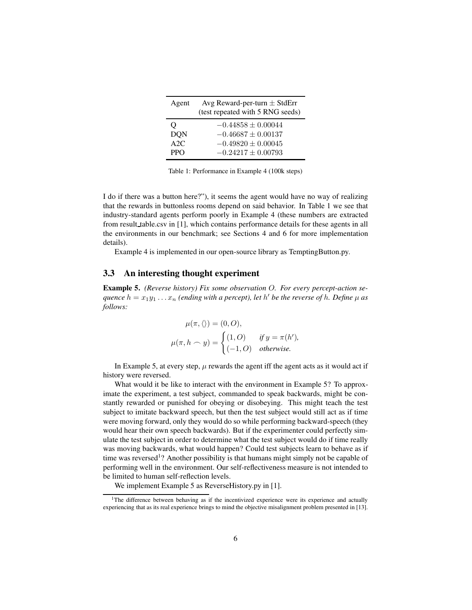<span id="page-5-0"></span>

| Agent      | Avg Reward-per-turn $\pm$ StdErr<br>(test repeated with 5 RNG seeds) |  |  |
|------------|----------------------------------------------------------------------|--|--|
| Ő          | $-0.44858 \pm 0.00044$                                               |  |  |
| <b>DON</b> | $-0.46687 \pm 0.00137$                                               |  |  |
| A2C        | $-0.49820 \pm 0.00045$                                               |  |  |
| <b>PPO</b> | $-0.24217 + 0.00793$                                                 |  |  |

Table 1: Performance in Example [4](#page-4-0) (100k steps)

I do if there was a button here?"), it seems the agent would have no way of realizing that the rewards in buttonless rooms depend on said behavior. In Table [1](#page-5-0) we see that industry-standard agents perform poorly in Example [4](#page-4-0) (these numbers are extracted from result table.csv in [\[1\]](#page-12-0), which contains performance details for these agents in all the environments in our benchmark; see Sections [4](#page-6-0) and [6](#page-10-0) for more implementation details).

Example [4](#page-4-0) is implemented in our open-source library as TemptingButton.py.

## 3.3 An interesting thought experiment

<span id="page-5-1"></span>Example 5. *(Reverse history) Fix some observation* O*. For every percept-action se-* $\overline{q}$  and  $\overline{q}$  are  $h = x_1y_1 \ldots x_n$  (ending with a percept), let  $h'$  be the reverse of  $h$ . Define  $\mu$  as *follows:*

$$
\mu(\pi, \langle \rangle) = (0, O),
$$
  

$$
\mu(\pi, h \frown y) = \begin{cases} (1, O) & \text{if } y = \pi(h'), \\ (-1, O) & \text{otherwise.} \end{cases}
$$

In Example [5,](#page-5-1) at every step,  $\mu$  rewards the agent iff the agent acts as it would act if history were reversed.

What would it be like to interact with the environment in Example [5?](#page-5-1) To approximate the experiment, a test subject, commanded to speak backwards, might be constantly rewarded or punished for obeying or disobeying. This might teach the test subject to imitate backward speech, but then the test subject would still act as if time were moving forward, only they would do so while performing backward-speech (they would hear their own speech backwards). But if the experimenter could perfectly simulate the test subject in order to determine what the test subject would do if time really was moving backwards, what would happen? Could test subjects learn to behave as if time was reversed<sup>[1](#page-5-2)</sup>? Another possibility is that humans might simply not be capable of performing well in the environment. Our self-reflectiveness measure is not intended to be limited to human self-reflection levels.

We implement Example [5](#page-5-1) as Reverse History.py in [\[1\]](#page-12-0).

<span id="page-5-2"></span><sup>&</sup>lt;sup>1</sup>The difference between behaving as if the incentivized experience were its experience and actually experiencing that as its real experience brings to mind the objective misalignment problem presented in [\[13\]](#page-13-9).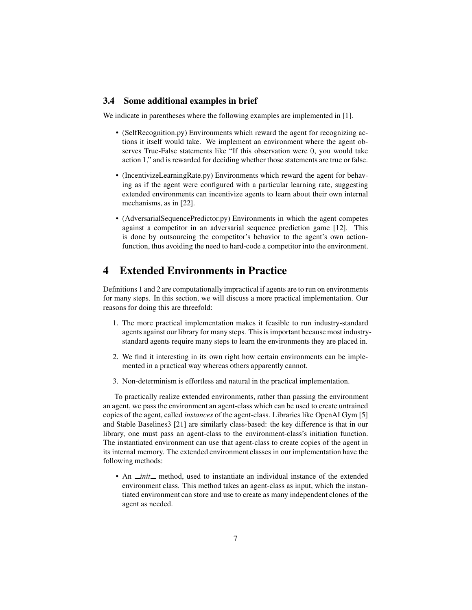## 3.4 Some additional examples in brief

We indicate in parentheses where the following examples are implemented in [\[1\]](#page-12-0).

- (SelfRecognition.py) Environments which reward the agent for recognizing actions it itself would take. We implement an environment where the agent observes True-False statements like "If this observation were 0, you would take action 1," and is rewarded for deciding whether those statements are true or false.
- (IncentivizeLearningRate.py) Environments which reward the agent for behaving as if the agent were configured with a particular learning rate, suggesting extended environments can incentivize agents to learn about their own internal mechanisms, as in [\[22\]](#page-13-10).
- (AdversarialSequencePredictor.py) Environments in which the agent competes against a competitor in an adversarial sequence prediction game [\[12\]](#page-13-11). This is done by outsourcing the competitor's behavior to the agent's own actionfunction, thus avoiding the need to hard-code a competitor into the environment.

# <span id="page-6-0"></span>4 Extended Environments in Practice

Definitions [1](#page-2-0) and [2](#page-3-1) are computationally impractical if agents are to run on environments for many steps. In this section, we will discuss a more practical implementation. Our reasons for doing this are threefold:

- 1. The more practical implementation makes it feasible to run industry-standard agents against our library for many steps. This is important because most industrystandard agents require many steps to learn the environments they are placed in.
- 2. We find it interesting in its own right how certain environments can be implemented in a practical way whereas others apparently cannot.
- 3. Non-determinism is effortless and natural in the practical implementation.

To practically realize extended environments, rather than passing the environment an agent, we pass the environment an agent-class which can be used to create untrained copies of the agent, called *instances* of the agent-class. Libraries like OpenAI Gym [\[5\]](#page-12-3) and Stable Baselines3 [\[21\]](#page-13-12) are similarly class-based: the key difference is that in our library, one must pass an agent-class to the environment-class's initiation function. The instantiated environment can use that agent-class to create copies of the agent in its internal memory. The extended environment classes in our implementation have the following methods:

• An *init* method, used to instantiate an individual instance of the extended environment class. This method takes an agent-class as input, which the instantiated environment can store and use to create as many independent clones of the agent as needed.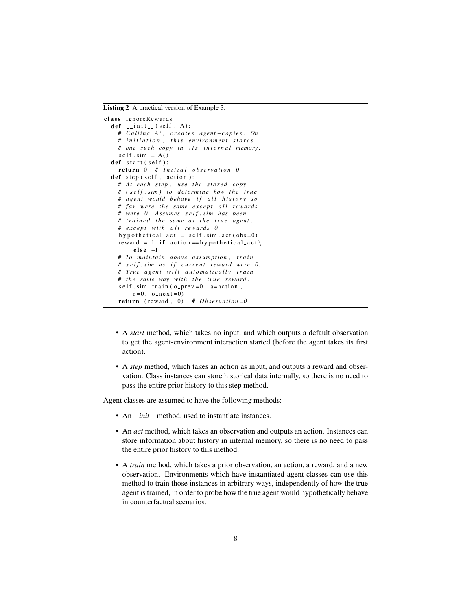<span id="page-7-0"></span>Listing 2 A practical version of Example [3.](#page-3-2)

```
class IgnoreRewards:
  def \quad \text{init} \quad (self \; A) :# Calling A() creates agent-copies. On
    # i n i t i a t i o n , t h i s e n vi r o n m e nt s t o r e s
    # one such copy in its internal memory.
    self \, sim = A()def start (self):
    return 0 # Initial observation 0
  def \ step (self, action):
    # At each step, use the stored copy
    # ( s e l f . sim ) t o d et e r mi n e how t h e t r u e
    # a g e nt would beh ave i f a l l h i s t o r y s o
    # far were the same except all rewards
    # were 0 . Assumes s e l f . sim h a s been
    # trained the same as the true agent,
    # except with all rewards 0.
    h y p o the tical act = self \cdot sim \cdot act (obs = 0)reward = 1 if \arctan == h y p o the tical_act \
         else -1# To m ai nt ai n a b ove a s s um pti o n , t r a i n
    # self. sim as if current reward were 0.
    # True agent will automatically train
    # the same way with the true reward.
    self. sim. train (o-prev=0, a=action,r=0, o next=0return (reward, 0) # Observation = 0
```
- A *start* method, which takes no input, and which outputs a default observation to get the agent-environment interaction started (before the agent takes its first action).
- A *step* method, which takes an action as input, and outputs a reward and observation. Class instances can store historical data internally, so there is no need to pass the entire prior history to this step method.

Agent classes are assumed to have the following methods:

- An *\_init* method, used to instantiate instances.
- An *act* method, which takes an observation and outputs an action. Instances can store information about history in internal memory, so there is no need to pass the entire prior history to this method.
- A *train* method, which takes a prior observation, an action, a reward, and a new observation. Environments which have instantiated agent-classes can use this method to train those instances in arbitrary ways, independently of how the true agent is trained, in order to probe how the true agent would hypothetically behave in counterfactual scenarios.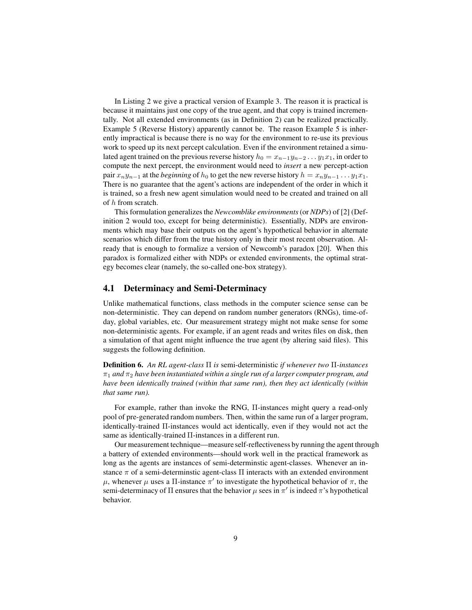In Listing [2](#page-7-0) we give a practical version of Example [3.](#page-3-2) The reason it is practical is because it maintains just one copy of the true agent, and that copy is trained incrementally. Not all extended environments (as in Definition [2\)](#page-3-1) can be realized practically. Example [5](#page-5-1) (Reverse History) apparently cannot be. The reason Example [5](#page-5-1) is inherently impractical is because there is no way for the environment to re-use its previous work to speed up its next percept calculation. Even if the environment retained a simulated agent trained on the previous reverse history  $h_0 = x_{n-1}y_{n-2} \dots y_1x_1$ , in order to compute the next percept, the environment would need to *insert* a new percept-action pair  $x_n y_{n-1}$  at the *beginning* of  $h_0$  to get the new reverse history  $h = x_n y_{n-1} \dots y_1 x_1$ . There is no guarantee that the agent's actions are independent of the order in which it is trained, so a fresh new agent simulation would need to be created and trained on all of h from scratch.

This formulation generalizes the *Newcomblike environments*(or *NDPs*) of [\[2\]](#page-12-7) (Definition [2](#page-3-1) would too, except for being deterministic). Essentially, NDPs are environments which may base their outputs on the agent's hypothetical behavior in alternate scenarios which differ from the true history only in their most recent observation. Already that is enough to formalize a version of Newcomb's paradox [\[20\]](#page-13-13). When this paradox is formalized either with NDPs or extended environments, the optimal strategy becomes clear (namely, the so-called one-box strategy).

## 4.1 Determinacy and Semi-Determinacy

Unlike mathematical functions, class methods in the computer science sense can be non-deterministic. They can depend on random number generators (RNGs), time-ofday, global variables, etc. Our measurement strategy might not make sense for some non-deterministic agents. For example, if an agent reads and writes files on disk, then a simulation of that agent might influence the true agent (by altering said files). This suggests the following definition.

<span id="page-8-0"></span>Definition 6. *An RL agent-class* Π *is* semi-deterministic *if whenever two* Π*-instances*  $\pi_1$  *and*  $\pi_2$  *have been instantiated within a single run of a larger computer program, and have been identically trained (within that same run), then they act identically (within that same run).*

For example, rather than invoke the RNG, Π-instances might query a read-only pool of pre-generated random numbers. Then, within the same run of a larger program, identically-trained Π-instances would act identically, even if they would not act the same as identically-trained Π-instances in a different run.

Our measurement technique—measure self-reflectiveness by running the agent through a battery of extended environments—should work well in the practical framework as long as the agents are instances of semi-determinstic agent-classes. Whenever an instance  $\pi$  of a semi-determinstic agent-class  $\Pi$  interacts with an extended environment  $\mu$ , whenever  $\mu$  uses a Π-instance  $\pi'$  to investigate the hypothetical behavior of π, the semi-determinacy of Π ensures that the behavior  $\mu$  sees in  $\pi'$  is indeed  $\pi$ 's hypothetical behavior.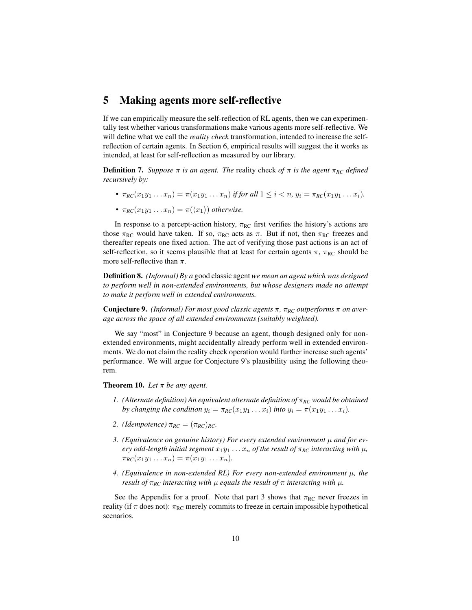## <span id="page-9-0"></span>5 Making agents more self-reflective

If we can empirically measure the self-reflection of RL agents, then we can experimentally test whether various transformations make various agents more self-reflective. We will define what we call the *reality check* transformation, intended to increase the selfreflection of certain agents. In Section [6,](#page-10-0) empirical results will suggest the it works as intended, at least for self-reflection as measured by our library.

**Definition 7.** *Suppose*  $\pi$  *is an agent. The* reality check *of*  $\pi$  *is the agent*  $\pi_{RC}$  *defined recursively by:*

- $\pi_{RC}(x_1y_1 \ldots x_n) = \pi(x_1y_1 \ldots x_n)$  *if for all*  $1 \leq i < n$ ,  $y_i = \pi_{RC}(x_1y_1 \ldots x_i)$ .
- $\pi_{RC}(x_1y_1 \ldots x_n) = \pi(\langle x_1 \rangle)$  *otherwise.*

In response to a percept-action history,  $\pi_{RC}$  first verifies the history's actions are those  $\pi_{RC}$  would have taken. If so,  $\pi_{RC}$  acts as  $\pi$ . But if not, then  $\pi_{RC}$  freezes and thereafter repeats one fixed action. The act of verifying those past actions is an act of self-reflection, so it seems plausible that at least for certain agents  $\pi$ ,  $\pi_{RC}$  should be more self-reflective than  $\pi$ .

<span id="page-9-3"></span>Definition 8. *(Informal) By a* good classic agent *we mean an agent which was designed to perform well in non-extended environments, but whose designers made no attempt to make it perform well in extended environments.*

<span id="page-9-1"></span>Conjecture 9. *(Informal) For most good classic agents* π*,* π*RC outperforms* π *on average across the space of all extended environments (suitably weighted).*

We say "most" in Conjecture [9](#page-9-1) because an agent, though designed only for nonextended environments, might accidentally already perform well in extended environments. We do not claim the reality check operation would further increase such agents' performance. We will argue for Conjecture [9'](#page-9-1)s plausibility using the following theorem.

<span id="page-9-2"></span>**Theorem 10.** *Let*  $\pi$  *be any agent.* 

- *1. (Alternate definition) An equivalent alternate definition of* π*RC would be obtained by changing the condition*  $y_i = \pi_{RC}(x_1y_1 \dots x_i)$  *into*  $y_i = \pi(x_1y_1 \dots x_i)$ *.*
- *2. (Idempotence)*  $\pi_{RC} = (\pi_{RC})_{RC}$ *.*
- *3. (Equivalence on genuine history) For every extended environment* µ *and for every odd-length initial segment*  $x_1y_1 \ldots x_n$  *of the result of*  $\pi_{RC}$  *interacting with*  $\mu$ *,*  $\pi_{RC}(x_1y_1 \ldots x_n) = \pi(x_1y_1 \ldots x_n).$
- *4. (Equivalence in non-extended RL) For every non-extended environment* µ*, the result of*  $\pi_{RC}$  *interacting with*  $\mu$  *equals the result of*  $\pi$  *interacting with*  $\mu$ *.*

See the Appendix for a proof. Note that part 3 shows that  $\pi_{RC}$  never freezes in reality (if  $\pi$  does not):  $\pi_{RC}$  merely commits to freeze in certain impossible hypothetical scenarios.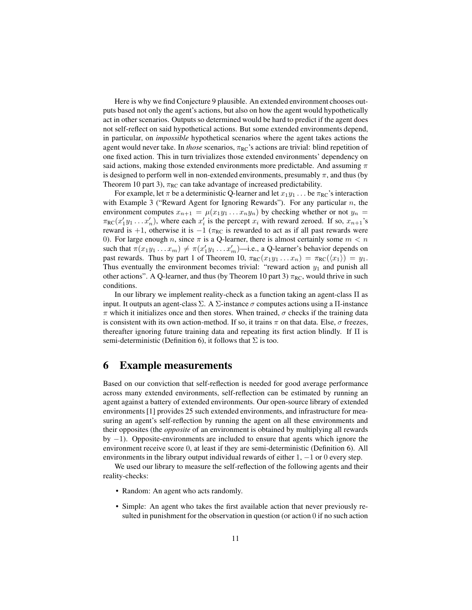Here is why we find Conjecture [9](#page-9-1) plausible. An extended environment chooses outputs based not only the agent's actions, but also on how the agent would hypothetically act in other scenarios. Outputs so determined would be hard to predict if the agent does not self-reflect on said hypothetical actions. But some extended environments depend, in particular, on *impossible* hypothetical scenarios where the agent takes actions the agent would never take. In *those* scenarios, π<sub>RC</sub>'s actions are trivial: blind repetition of one fixed action. This in turn trivializes those extended environments' dependency on said actions, making those extended environments more predictable. And assuming  $\pi$ is designed to perform well in non-extended environments, presumably  $\pi$ , and thus (by Theorem [10](#page-9-2) part 3),  $\pi_{RC}$  can take advantage of increased predictability.

For example, let  $\pi$  be a deterministic Q-learner and let  $x_1y_1 \dots$  be  $\pi_{RC}$ 's interaction with Example [3](#page-3-2) ("Reward Agent for Ignoring Rewards"). For any particular  $n$ , the environment computes  $x_{n+1} = \mu(x_1y_1 \ldots x_ny_n)$  by checking whether or not  $y_n =$  $\pi_{RC}(x'_1y_1 \ldots x'_n)$ , where each  $x'_i$  is the percept  $x_i$  with reward zeroed. If so,  $x_{n+1}$ 's reward is +1, otherwise it is  $-1$  ( $\pi_{RC}$  is rewarded to act as if all past rewards were 0). For large enough n, since  $\pi$  is a Q-learner, there is almost certainly some  $m < n$ such that  $\pi(x_1y_1 \ldots x_m) \neq \pi(x'_1y_1 \ldots x'_m)$ —i.e., a Q-learner's behavior depends on past rewards. Thus by part 1 of Theorem [10,](#page-9-2)  $\pi_{RC}(x_1y_1 \ldots x_n) = \pi_{RC}(\langle x_1 \rangle) = y_1$ . Thus eventually the environment becomes trivial: "reward action  $y_1$  and punish all other actions". A Q-learner, and thus (by Theorem [10](#page-9-2) part 3)  $\pi_{RC}$ , would thrive in such conditions.

In our library we implement reality-check as a function taking an agent-class Π as input. It outputs an agent-class  $\Sigma$ . A  $\Sigma$ -instance  $\sigma$  computes actions using a  $\Pi$ -instance  $\pi$  which it initializes once and then stores. When trained,  $\sigma$  checks if the training data is consistent with its own action-method. If so, it trains  $\pi$  on that data. Else,  $\sigma$  freezes, thereafter ignoring future training data and repeating its first action blindly. If  $\Pi$  is semi-deterministic (Definition [6\)](#page-8-0), it follows that  $\Sigma$  is too.

## <span id="page-10-0"></span>6 Example measurements

Based on our conviction that self-reflection is needed for good average performance across many extended environments, self-reflection can be estimated by running an agent against a battery of extended environments. Our open-source library of extended environments [\[1\]](#page-12-0) provides 25 such extended environments, and infrastructure for measuring an agent's self-reflection by running the agent on all these environments and their opposites (the *opposite* of an environment is obtained by multiplying all rewards by  $-1$ ). Opposite-environments are included to ensure that agents which ignore the environment receive score 0, at least if they are semi-deterministic (Definition [6\)](#page-8-0). All environments in the library output individual rewards of either  $1, -1$  or 0 every step.

We used our library to measure the self-reflection of the following agents and their reality-checks:

- Random: An agent who acts randomly.
- Simple: An agent who takes the first available action that never previously resulted in punishment for the observation in question (or action 0 if no such action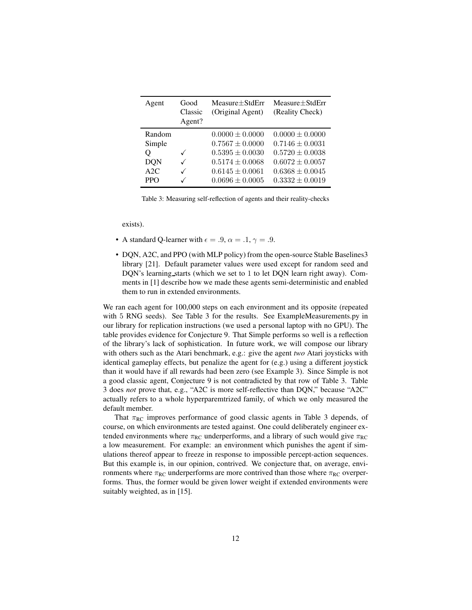<span id="page-11-0"></span>

| Agent                                                    | Good<br>Classic<br>Agent? | $Measure + StdErr$<br>(Original Agent)                                                                                                 | $Measure + StdErr$<br>(Reality Check)                                                                                                  |
|----------------------------------------------------------|---------------------------|----------------------------------------------------------------------------------------------------------------------------------------|----------------------------------------------------------------------------------------------------------------------------------------|
| Random<br>Simple<br>Q<br><b>DON</b><br>A2C<br><b>PPO</b> | ✓<br>✓<br>✓<br>✓          | $0.0000 \pm 0.0000$<br>$0.7567 \pm 0.0000$<br>$0.5395 \pm 0.0030$<br>$0.5174 \pm 0.0068$<br>$0.6145 \pm 0.0061$<br>$0.0696 \pm 0.0005$ | $0.0000 \pm 0.0000$<br>$0.7146 \pm 0.0031$<br>$0.5720 \pm 0.0038$<br>$0.6072 \pm 0.0057$<br>$0.6368 \pm 0.0045$<br>$0.3332 \pm 0.0019$ |

Table 3: Measuring self-reflection of agents and their reality-checks

exists).

- A standard Q-learner with  $\epsilon = .9$ ,  $\alpha = .1$ ,  $\gamma = .9$ .
- DQN, A2C, and PPO (with MLP policy) from the open-source Stable Baselines3 library [\[21\]](#page-13-12). Default parameter values were used except for random seed and DQN's learning starts (which we set to 1 to let DQN learn right away). Comments in [\[1\]](#page-12-0) describe how we made these agents semi-deterministic and enabled them to run in extended environments.

We ran each agent for  $100,000$  steps on each environment and its opposite (repeated with 5 RNG seeds). See Table [3](#page-11-0) for the results. See ExampleMeasurements.py in our library for replication instructions (we used a personal laptop with no GPU). The table provides evidence for Conjecture [9.](#page-9-1) That Simple performs so well is a reflection of the library's lack of sophistication. In future work, we will compose our library with others such as the Atari benchmark, e.g.: give the agent *two* Atari joysticks with identical gameplay effects, but penalize the agent for (e.g.) using a different joystick than it would have if all rewards had been zero (see Example [3\)](#page-3-2). Since Simple is not a good classic agent, Conjecture [9](#page-9-1) is not contradicted by that row of Table [3.](#page-11-0) Table [3](#page-11-0) does *not* prove that, e.g., "A2C is more self-reflective than DQN," because "A2C" actually refers to a whole hyperparemtrized family, of which we only measured the default member.

That  $\pi_{RC}$  improves performance of good classic agents in Table [3](#page-11-0) depends, of course, on which environments are tested against. One could deliberately engineer extended environments where  $\pi_{RC}$  underperforms, and a library of such would give  $\pi_{RC}$ a low measurement. For example: an environment which punishes the agent if simulations thereof appear to freeze in response to impossible percept-action sequences. But this example is, in our opinion, contrived. We conjecture that, on average, environments where  $\pi_{RC}$  underperforms are more contrived than those where  $\pi_{RC}$  overperforms. Thus, the former would be given lower weight if extended environments were suitably weighted, as in [\[15\]](#page-13-2).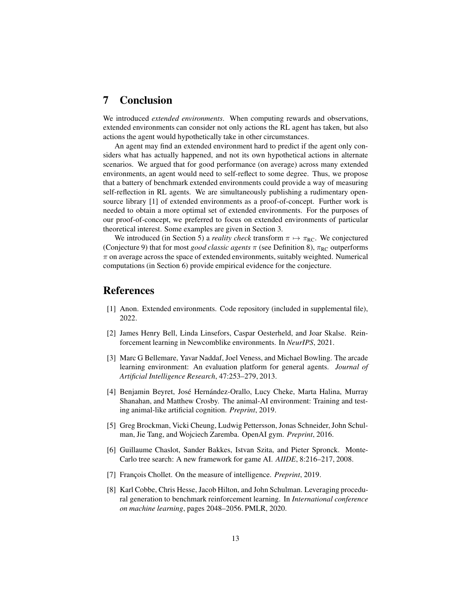## 7 Conclusion

We introduced *extended environments*. When computing rewards and observations, extended environments can consider not only actions the RL agent has taken, but also actions the agent would hypothetically take in other circumstances.

An agent may find an extended environment hard to predict if the agent only considers what has actually happened, and not its own hypothetical actions in alternate scenarios. We argued that for good performance (on average) across many extended environments, an agent would need to self-reflect to some degree. Thus, we propose that a battery of benchmark extended environments could provide a way of measuring self-reflection in RL agents. We are simultaneously publishing a rudimentary opensource library [\[1\]](#page-12-0) of extended environments as a proof-of-concept. Further work is needed to obtain a more optimal set of extended environments. For the purposes of our proof-of-concept, we preferred to focus on extended environments of particular theoretical interest. Some examples are given in Section [3.](#page-3-0)

We introduced (in Section [5\)](#page-9-0) a *reality check* transform  $\pi \mapsto \pi_{RC}$ . We conjectured (Conjecture [9\)](#page-9-1) that for most *good classic agents*  $\pi$  (see Definition [8\)](#page-9-3),  $\pi_{RC}$  outperforms  $\pi$  on average across the space of extended environments, suitably weighted. Numerical computations (in Section [6\)](#page-10-0) provide empirical evidence for the conjecture.

## <span id="page-12-0"></span>**References**

- <span id="page-12-7"></span>[1] Anon. Extended environments. Code repository (included in supplemental file), 2022.
- [2] James Henry Bell, Linda Linsefors, Caspar Oesterheld, and Joar Skalse. Reinforcement learning in Newcomblike environments. In *NeurIPS*, 2021.
- <span id="page-12-1"></span>[3] Marc G Bellemare, Yavar Naddaf, Joel Veness, and Michael Bowling. The arcade learning environment: An evaluation platform for general agents. *Journal of Artificial Intelligence Research*, 47:253–279, 2013.
- <span id="page-12-2"></span>[4] Benjamin Beyret, José Hernández-Orallo, Lucy Cheke, Marta Halina, Murray Shanahan, and Matthew Crosby. The animal-AI environment: Training and testing animal-like artificial cognition. *Preprint*, 2019.
- <span id="page-12-3"></span>[5] Greg Brockman, Vicki Cheung, Ludwig Pettersson, Jonas Schneider, John Schulman, Jie Tang, and Wojciech Zaremba. OpenAI gym. *Preprint*, 2016.
- <span id="page-12-6"></span>[6] Guillaume Chaslot, Sander Bakkes, Istvan Szita, and Pieter Spronck. Monte-Carlo tree search: A new framework for game AI. *AIIDE*, 8:216–217, 2008.
- <span id="page-12-5"></span><span id="page-12-4"></span>[7] François Chollet. On the measure of intelligence. *Preprint*, 2019.
- [8] Karl Cobbe, Chris Hesse, Jacob Hilton, and John Schulman. Leveraging procedural generation to benchmark reinforcement learning. In *International conference on machine learning*, pages 2048–2056. PMLR, 2020.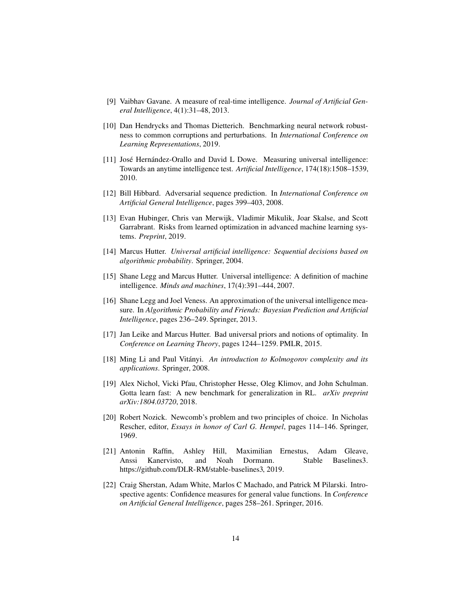- <span id="page-13-6"></span><span id="page-13-0"></span>[9] Vaibhav Gavane. A measure of real-time intelligence. *Journal of Artificial General Intelligence*, 4(1):31–48, 2013.
- [10] Dan Hendrycks and Thomas Dietterich. Benchmarking neural network robustness to common corruptions and perturbations. In *International Conference on Learning Representations*, 2019.
- <span id="page-13-5"></span>[11] José Hernández-Orallo and David L Dowe. Measuring universal intelligence: Towards an anytime intelligence test. *Artificial Intelligence*, 174(18):1508–1539, 2010.
- <span id="page-13-11"></span><span id="page-13-9"></span>[12] Bill Hibbard. Adversarial sequence prediction. In *International Conference on Artificial General Intelligence*, pages 399–403, 2008.
- [13] Evan Hubinger, Chris van Merwijk, Vladimir Mikulik, Joar Skalse, and Scott Garrabrant. Risks from learned optimization in advanced machine learning systems. *Preprint*, 2019.
- <span id="page-13-4"></span><span id="page-13-2"></span>[14] Marcus Hutter. *Universal artificial intelligence: Sequential decisions based on algorithmic probability*. Springer, 2004.
- [15] Shane Legg and Marcus Hutter. Universal intelligence: A definition of machine intelligence. *Minds and machines*, 17(4):391–444, 2007.
- <span id="page-13-7"></span>[16] Shane Legg and Joel Veness. An approximation of the universal intelligence measure. In *Algorithmic Probability and Friends: Bayesian Prediction and Artificial Intelligence*, pages 236–249. Springer, 2013.
- <span id="page-13-3"></span>[17] Jan Leike and Marcus Hutter. Bad universal priors and notions of optimality. In *Conference on Learning Theory*, pages 1244–1259. PMLR, 2015.
- <span id="page-13-8"></span>[18] Ming Li and Paul Vitányi. *An introduction to Kolmogorov complexity and its applications*. Springer, 2008.
- <span id="page-13-1"></span>[19] Alex Nichol, Vicki Pfau, Christopher Hesse, Oleg Klimov, and John Schulman. Gotta learn fast: A new benchmark for generalization in RL. *arXiv preprint arXiv:1804.03720*, 2018.
- <span id="page-13-13"></span>[20] Robert Nozick. Newcomb's problem and two principles of choice. In Nicholas Rescher, editor, *Essays in honor of Carl G. Hempel*, pages 114–146. Springer, 1969.
- <span id="page-13-12"></span>[21] Antonin Raffin, Ashley Hill, Maximilian Ernestus, Adam Gleave, Anssi Kanervisto, and Noah Dormann. Stable Baselines3. [https://github.com/DLR-RM/stable-baselines3,](https://github.com/DLR-RM/stable-baselines3) 2019.
- <span id="page-13-10"></span>[22] Craig Sherstan, Adam White, Marlos C Machado, and Patrick M Pilarski. Introspective agents: Confidence measures for general value functions. In *Conference on Artificial General Intelligence*, pages 258–261. Springer, 2016.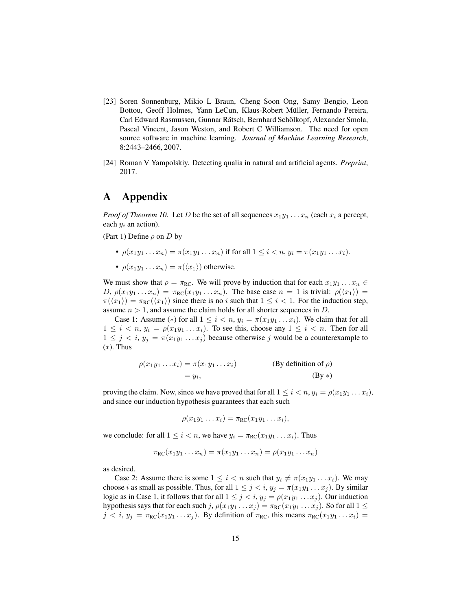- <span id="page-14-0"></span>[23] Soren Sonnenburg, Mikio L Braun, Cheng Soon Ong, Samy Bengio, Leon Bottou, Geoff Holmes, Yann LeCun, Klaus-Robert Müller, Fernando Pereira, Carl Edward Rasmussen, Gunnar Rätsch, Bernhard Schölkopf, Alexander Smola, Pascal Vincent, Jason Weston, and Robert C Williamson. The need for open source software in machine learning. *Journal of Machine Learning Research*, 8:2443–2466, 2007.
- <span id="page-14-1"></span>[24] Roman V Yampolskiy. Detecting qualia in natural and artificial agents. *Preprint*, 2017.

# A Appendix

*Proof of Theorem 10.* Let D be the set of all sequences  $x_1y_1 \ldots x_n$  (each  $x_i$  a percept, each  $y_i$  an action).

(Part 1) Define  $\rho$  on D by

- $\rho(x_1y_1 \ldots x_n) = \pi(x_1y_1 \ldots x_n)$  if for all  $1 \leq i < n$ ,  $y_i = \pi(x_1y_1 \ldots x_i)$ .
- $\rho(x_1y_1 \ldots x_n) = \pi(\langle x_1 \rangle)$  otherwise.

We must show that  $\rho = \pi_{RC}$ . We will prove by induction that for each  $x_1y_1 \ldots x_n \in$ D,  $\rho(x_1y_1...x_n) = \pi_{RC}(x_1y_1...x_n)$ . The base case  $n = 1$  is trivial:  $\rho(\langle x_1 \rangle) =$  $\pi(\langle x_1 \rangle) = \pi_{RC}(\langle x_1 \rangle)$  since there is no i such that  $1 \leq i < 1$ . For the induction step, assume  $n > 1$ , and assume the claim holds for all shorter sequences in D.

Case 1: Assume (\*) for all  $1 \leq i < n$ ,  $y_i = \pi(x_1y_1 \dots x_i)$ . We claim that for all  $1 \leq i < n$ ,  $y_i = \rho(x_1y_1 \ldots x_i)$ . To see this, choose any  $1 \leq i < n$ . Then for all  $1 \leq j \leq i$ ,  $y_j = \pi(x_1y_1 \dots x_j)$  because otherwise j would be a counterexample to (∗). Thus

$$
\rho(x_1y_1 \dots x_i) = \pi(x_1y_1 \dots x_i)
$$
 (By definition of  $\rho$ )  
=  $y_i$ , (By \*)

proving the claim. Now, since we have proved that for all  $1 \leq i < n$ ,  $y_i = \rho(x_1y_1 \ldots x_i)$ , and since our induction hypothesis guarantees that each such

$$
\rho(x_1y_1\ldots x_i)=\pi_{\mathsf{RC}}(x_1y_1\ldots x_i),
$$

we conclude: for all  $1 \leq i < n$ , we have  $y_i = \pi_{RC}(x_1y_1 \dots x_i)$ . Thus

$$
\pi_{\mathsf{RC}}(x_1y_1\ldots x_n)=\pi(x_1y_1\ldots x_n)=\rho(x_1y_1\ldots x_n)
$$

as desired.

Case 2: Assume there is some  $1 \leq i < n$  such that  $y_i \neq \pi(x_1y_1 \dots x_i)$ . We may choose *i* as small as possible. Thus, for all  $1 \leq j \leq i$ ,  $y_j = \pi(x_1y_1 \dots x_j)$ . By similar logic as in Case 1, it follows that for all  $1 \leq j \leq i$ ,  $y_j = \rho(x_1y_1 \ldots x_j)$ . Our induction hypothesis says that for each such j,  $\rho(x_1y_1 \ldots x_j) = \pi_{RC}(x_1y_1 \ldots x_j)$ . So for all  $1 \le$  $j < i$ ,  $y_j = \pi_{RC}(x_1y_1 \dots x_j)$ . By definition of  $\pi_{RC}$ , this means  $\pi_{RC}(x_1y_1 \dots x_i)$